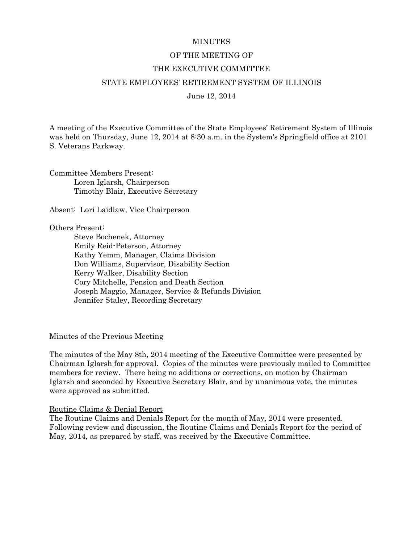#### **MINUTES**

### OF THE MEETING OF

#### THE EXECUTIVE COMMITTEE

### STATE EMPLOYEES' RETIREMENT SYSTEM OF ILLINOIS

June 12, 2014

A meeting of the Executive Committee of the State Employees' Retirement System of Illinois was held on Thursday, June 12, 2014 at 8:30 a.m. in the System's Springfield office at 2101 S. Veterans Parkway.

Committee Members Present: Loren Iglarsh, Chairperson Timothy Blair, Executive Secretary

Absent: Lori Laidlaw, Vice Chairperson

#### Others Present:

 Steve Bochenek, Attorney Emily Reid-Peterson, Attorney Kathy Yemm, Manager, Claims Division Don Williams, Supervisor, Disability Section Kerry Walker, Disability Section Cory Mitchelle, Pension and Death Section Joseph Maggio, Manager, Service & Refunds Division Jennifer Staley, Recording Secretary

#### Minutes of the Previous Meeting

The minutes of the May 8th, 2014 meeting of the Executive Committee were presented by Chairman Iglarsh for approval. Copies of the minutes were previously mailed to Committee members for review. There being no additions or corrections, on motion by Chairman Iglarsh and seconded by Executive Secretary Blair, and by unanimous vote, the minutes were approved as submitted.

#### Routine Claims & Denial Report

The Routine Claims and Denials Report for the month of May, 2014 were presented. Following review and discussion, the Routine Claims and Denials Report for the period of May, 2014, as prepared by staff, was received by the Executive Committee.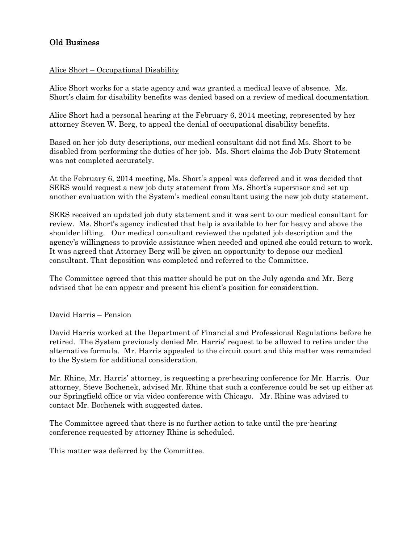# Old Business

# Alice Short – Occupational Disability

Alice Short works for a state agency and was granted a medical leave of absence. Ms. Short's claim for disability benefits was denied based on a review of medical documentation.

Alice Short had a personal hearing at the February 6, 2014 meeting, represented by her attorney Steven W. Berg, to appeal the denial of occupational disability benefits.

Based on her job duty descriptions, our medical consultant did not find Ms. Short to be disabled from performing the duties of her job. Ms. Short claims the Job Duty Statement was not completed accurately.

At the February 6, 2014 meeting, Ms. Short's appeal was deferred and it was decided that SERS would request a new job duty statement from Ms. Short's supervisor and set up another evaluation with the System's medical consultant using the new job duty statement.

SERS received an updated job duty statement and it was sent to our medical consultant for review. Ms. Short's agency indicated that help is available to her for heavy and above the shoulder lifting. Our medical consultant reviewed the updated job description and the agency's willingness to provide assistance when needed and opined she could return to work. It was agreed that Attorney Berg will be given an opportunity to depose our medical consultant. That deposition was completed and referred to the Committee.

The Committee agreed that this matter should be put on the July agenda and Mr. Berg advised that he can appear and present his client's position for consideration.

# David Harris – Pension

David Harris worked at the Department of Financial and Professional Regulations before he retired. The System previously denied Mr. Harris' request to be allowed to retire under the alternative formula. Mr. Harris appealed to the circuit court and this matter was remanded to the System for additional consideration.

Mr. Rhine, Mr. Harris' attorney, is requesting a pre-hearing conference for Mr. Harris. Our attorney, Steve Bochenek, advised Mr. Rhine that such a conference could be set up either at our Springfield office or via video conference with Chicago. Mr. Rhine was advised to contact Mr. Bochenek with suggested dates.

The Committee agreed that there is no further action to take until the pre-hearing conference requested by attorney Rhine is scheduled.

This matter was deferred by the Committee.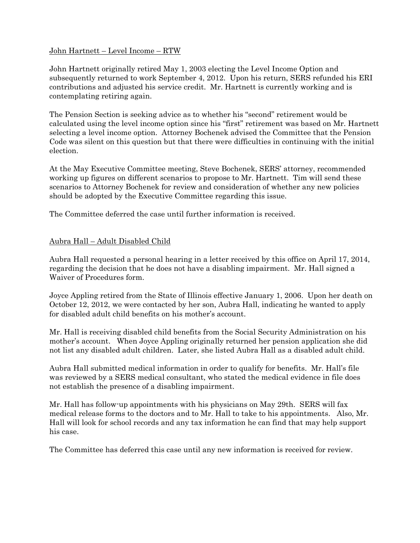# John Hartnett – Level Income – RTW

John Hartnett originally retired May 1, 2003 electing the Level Income Option and subsequently returned to work September 4, 2012. Upon his return, SERS refunded his ERI contributions and adjusted his service credit. Mr. Hartnett is currently working and is contemplating retiring again.

The Pension Section is seeking advice as to whether his "second" retirement would be calculated using the level income option since his "first" retirement was based on Mr. Hartnett selecting a level income option. Attorney Bochenek advised the Committee that the Pension Code was silent on this question but that there were difficulties in continuing with the initial election.

At the May Executive Committee meeting, Steve Bochenek, SERS' attorney, recommended working up figures on different scenarios to propose to Mr. Hartnett. Tim will send these scenarios to Attorney Bochenek for review and consideration of whether any new policies should be adopted by the Executive Committee regarding this issue.

The Committee deferred the case until further information is received.

# Aubra Hall – Adult Disabled Child

Aubra Hall requested a personal hearing in a letter received by this office on April 17, 2014, regarding the decision that he does not have a disabling impairment. Mr. Hall signed a Waiver of Procedures form.

Joyce Appling retired from the State of Illinois effective January 1, 2006. Upon her death on October 12, 2012, we were contacted by her son, Aubra Hall, indicating he wanted to apply for disabled adult child benefits on his mother's account.

Mr. Hall is receiving disabled child benefits from the Social Security Administration on his mother's account. When Joyce Appling originally returned her pension application she did not list any disabled adult children. Later, she listed Aubra Hall as a disabled adult child.

Aubra Hall submitted medical information in order to qualify for benefits. Mr. Hall's file was reviewed by a SERS medical consultant, who stated the medical evidence in file does not establish the presence of a disabling impairment.

Mr. Hall has follow-up appointments with his physicians on May 29th. SERS will fax medical release forms to the doctors and to Mr. Hall to take to his appointments. Also, Mr. Hall will look for school records and any tax information he can find that may help support his case.

The Committee has deferred this case until any new information is received for review.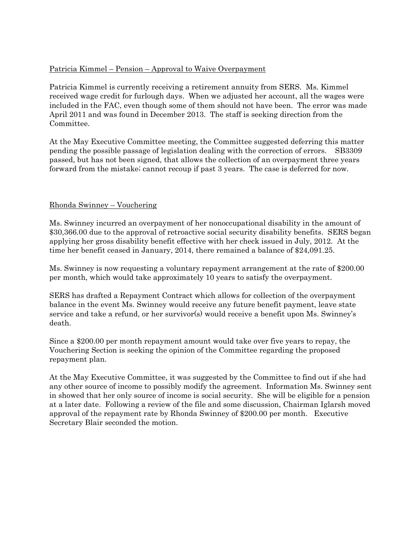# Patricia Kimmel – Pension – Approval to Waive Overpayment

Patricia Kimmel is currently receiving a retirement annuity from SERS. Ms. Kimmel received wage credit for furlough days. When we adjusted her account, all the wages were included in the FAC, even though some of them should not have been. The error was made April 2011 and was found in December 2013. The staff is seeking direction from the Committee.

At the May Executive Committee meeting, the Committee suggested deferring this matter pending the possible passage of legislation dealing with the correction of errors. SB3309 passed, but has not been signed, that allows the collection of an overpayment three years forward from the mistake; cannot recoup if past 3 years. The case is deferred for now.

# Rhonda Swinney – Vouchering

Ms. Swinney incurred an overpayment of her nonoccupational disability in the amount of \$30,366.00 due to the approval of retroactive social security disability benefits. SERS began applying her gross disability benefit effective with her check issued in July, 2012. At the time her benefit ceased in January, 2014, there remained a balance of \$24,091.25.

Ms. Swinney is now requesting a voluntary repayment arrangement at the rate of \$200.00 per month, which would take approximately 10 years to satisfy the overpayment.

SERS has drafted a Repayment Contract which allows for collection of the overpayment balance in the event Ms. Swinney would receive any future benefit payment, leave state service and take a refund, or her survivor(s) would receive a benefit upon Ms. Swinney's death.

Since a \$200.00 per month repayment amount would take over five years to repay, the Vouchering Section is seeking the opinion of the Committee regarding the proposed repayment plan.

At the May Executive Committee, it was suggested by the Committee to find out if she had any other source of income to possibly modify the agreement. Information Ms. Swinney sent in showed that her only source of income is social security. She will be eligible for a pension at a later date. Following a review of the file and some discussion, Chairman Iglarsh moved approval of the repayment rate by Rhonda Swinney of \$200.00 per month. Executive Secretary Blair seconded the motion.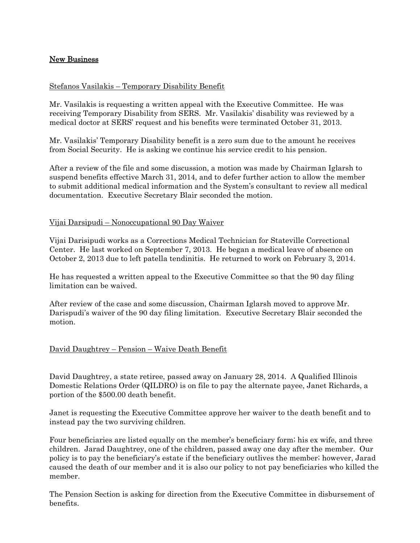# New Business

### Stefanos Vasilakis – Temporary Disability Benefit

Mr. Vasilakis is requesting a written appeal with the Executive Committee. He was receiving Temporary Disability from SERS. Mr. Vasilakis' disability was reviewed by a medical doctor at SERS' request and his benefits were terminated October 31, 2013.

Mr. Vasilakis' Temporary Disability benefit is a zero sum due to the amount he receives from Social Security. He is asking we continue his service credit to his pension.

After a review of the file and some discussion, a motion was made by Chairman Iglarsh to suspend benefits effective March 31, 2014, and to defer further action to allow the member to submit additional medical information and the System's consultant to review all medical documentation. Executive Secretary Blair seconded the motion.

### Vijai Darsipudi – Nonoccupational 90 Day Waiver

Vijai Darisipudi works as a Corrections Medical Technician for Stateville Correctional Center. He last worked on September 7, 2013. He began a medical leave of absence on October 2, 2013 due to left patella tendinitis. He returned to work on February 3, 2014.

He has requested a written appeal to the Executive Committee so that the 90 day filing limitation can be waived.

After review of the case and some discussion, Chairman Iglarsh moved to approve Mr. Darispudi's waiver of the 90 day filing limitation. Executive Secretary Blair seconded the motion.

### David Daughtrey – Pension – Waive Death Benefit

David Daughtrey, a state retiree, passed away on January 28, 2014. A Qualified Illinois Domestic Relations Order (QILDRO) is on file to pay the alternate payee, Janet Richards, a portion of the \$500.00 death benefit.

Janet is requesting the Executive Committee approve her waiver to the death benefit and to instead pay the two surviving children.

Four beneficiaries are listed equally on the member's beneficiary form; his ex wife, and three children. Jarad Daughtrey, one of the children, passed away one day after the member. Our policy is to pay the beneficiary's estate if the beneficiary outlives the member; however, Jarad caused the death of our member and it is also our policy to not pay beneficiaries who killed the member.

The Pension Section is asking for direction from the Executive Committee in disbursement of benefits.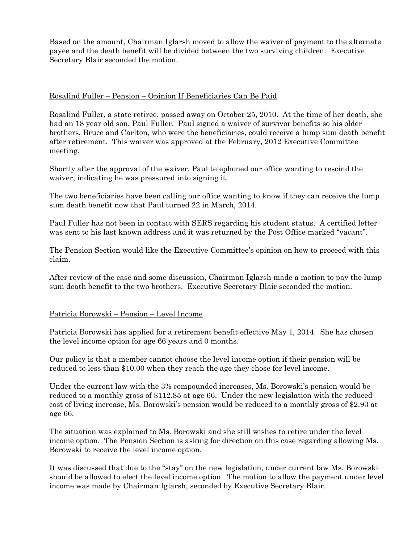Based on the amount, Chairman Iglarsh moved to allow the waiver of payment to the alternate payee and the death benefit will be divided between the two surviving children. Executive Secretary Blair seconded the motion.

### Rosalind Fuller – Pension – Opinion If Beneficiaries Can Be Paid

Rosalind Fuller, a state retiree, passed away on October 25, 2010. At the time of her death, she had an 18 year old son, Paul Fuller. Paul signed a waiver of survivor benefits so his older brothers, Bruce and Carlton, who were the beneficiaries, could receive a lump sum death benefit after retirement. This waiver was approved at the February, 2012 Executive Committee meeting.

Shortly after the approval of the waiver, Paul telephoned our office wanting to rescind the waiver, indicating he was pressured into signing it.

The two beneficiaries have been calling our office wanting to know if they can receive the lump sum death benefit now that Paul turned 22 in March, 2014.

Paul Fuller has not been in contact with SERS regarding his student status. A certified letter was sent to his last known address and it was returned by the Post Office marked "vacant".

The Pension Section would like the Executive Committee's opinion on how to proceed with this claim.

After review of the case and some discussion, Chairman Iglarsh made a motion to pay the lump sum death benefit to the two brothers. Executive Secretary Blair seconded the motion.

### Patricia Borowski – Pension – Level Income

Patricia Borowski has applied for a retirement benefit effective May 1, 2014. She has chosen the level income option for age 66 years and 0 months.

Our policy is that a member cannot choose the level income option if their pension will be reduced to less than \$10.00 when they reach the age they chose for level income.

Under the current law with the 3% compounded increases, Ms. Borowski's pension would be reduced to a monthly gross of \$112.85 at age 66. Under the new legislation with the reduced cost of living increase, Ms. Borowski's pension would be reduced to a monthly gross of \$2.93 at age 66.

The situation was explained to Ms. Borowski and she still wishes to retire under the level income option. The Pension Section is asking for direction on this case regarding allowing Ms. Borowski to receive the level income option.

It was discussed that due to the "stay" on the new legislation, under current law Ms. Borowski should be allowed to elect the level income option. The motion to allow the payment under level income was made by Chairman Iglarsh, seconded by Executive Secretary Blair.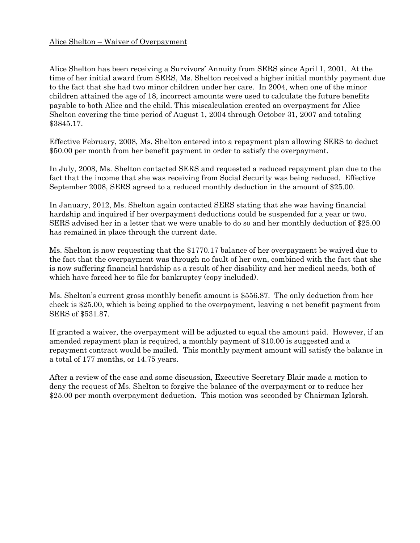### Alice Shelton – Waiver of Overpayment

Alice Shelton has been receiving a Survivors' Annuity from SERS since April 1, 2001. At the time of her initial award from SERS, Ms. Shelton received a higher initial monthly payment due to the fact that she had two minor children under her care. In 2004, when one of the minor children attained the age of 18, incorrect amounts were used to calculate the future benefits payable to both Alice and the child. This miscalculation created an overpayment for Alice Shelton covering the time period of August 1, 2004 through October 31, 2007 and totaling \$3845.17.

Effective February, 2008, Ms. Shelton entered into a repayment plan allowing SERS to deduct \$50.00 per month from her benefit payment in order to satisfy the overpayment.

In July, 2008, Ms. Shelton contacted SERS and requested a reduced repayment plan due to the fact that the income that she was receiving from Social Security was being reduced. Effective September 2008, SERS agreed to a reduced monthly deduction in the amount of \$25.00.

In January, 2012, Ms. Shelton again contacted SERS stating that she was having financial hardship and inquired if her overpayment deductions could be suspended for a year or two. SERS advised her in a letter that we were unable to do so and her monthly deduction of \$25.00 has remained in place through the current date.

Ms. Shelton is now requesting that the \$1770.17 balance of her overpayment be waived due to the fact that the overpayment was through no fault of her own, combined with the fact that she is now suffering financial hardship as a result of her disability and her medical needs, both of which have forced her to file for bankruptcy (copy included).

Ms. Shelton's current gross monthly benefit amount is \$556.87. The only deduction from her check is \$25.00, which is being applied to the overpayment, leaving a net benefit payment from SERS of \$531.87.

If granted a waiver, the overpayment will be adjusted to equal the amount paid. However, if an amended repayment plan is required, a monthly payment of \$10.00 is suggested and a repayment contract would be mailed. This monthly payment amount will satisfy the balance in a total of 177 months, or 14.75 years.

After a review of the case and some discussion, Executive Secretary Blair made a motion to deny the request of Ms. Shelton to forgive the balance of the overpayment or to reduce her \$25.00 per month overpayment deduction. This motion was seconded by Chairman Iglarsh.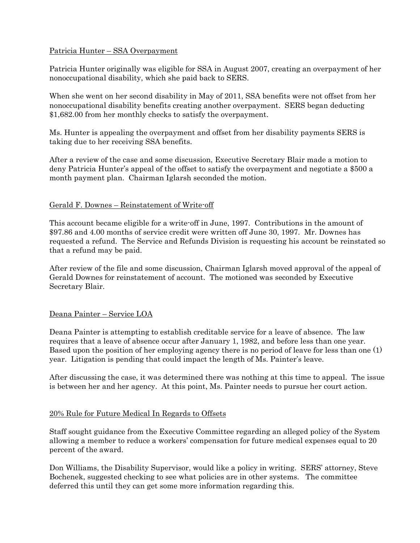# Patricia Hunter – SSA Overpayment

Patricia Hunter originally was eligible for SSA in August 2007, creating an overpayment of her nonoccupational disability, which she paid back to SERS.

When she went on her second disability in May of 2011, SSA benefits were not offset from her nonoccupational disability benefits creating another overpayment. SERS began deducting \$1,682.00 from her monthly checks to satisfy the overpayment.

Ms. Hunter is appealing the overpayment and offset from her disability payments SERS is taking due to her receiving SSA benefits.

After a review of the case and some discussion, Executive Secretary Blair made a motion to deny Patricia Hunter's appeal of the offset to satisfy the overpayment and negotiate a \$500 a month payment plan. Chairman Iglarsh seconded the motion.

# Gerald F. Downes – Reinstatement of Write-off

This account became eligible for a write-off in June, 1997. Contributions in the amount of \$97.86 and 4.00 months of service credit were written off June 30, 1997. Mr. Downes has requested a refund. The Service and Refunds Division is requesting his account be reinstated so that a refund may be paid.

After review of the file and some discussion, Chairman Iglarsh moved approval of the appeal of Gerald Downes for reinstatement of account. The motioned was seconded by Executive Secretary Blair.

# Deana Painter – Service LOA

Deana Painter is attempting to establish creditable service for a leave of absence. The law requires that a leave of absence occur after January 1, 1982, and before less than one year. Based upon the position of her employing agency there is no period of leave for less than one (1) year. Litigation is pending that could impact the length of Ms. Painter's leave.

After discussing the case, it was determined there was nothing at this time to appeal. The issue is between her and her agency. At this point, Ms. Painter needs to pursue her court action.

# 20% Rule for Future Medical In Regards to Offsets

Staff sought guidance from the Executive Committee regarding an alleged policy of the System allowing a member to reduce a workers' compensation for future medical expenses equal to 20 percent of the award.

Don Williams, the Disability Supervisor, would like a policy in writing. SERS' attorney, Steve Bochenek, suggested checking to see what policies are in other systems. The committee deferred this until they can get some more information regarding this.